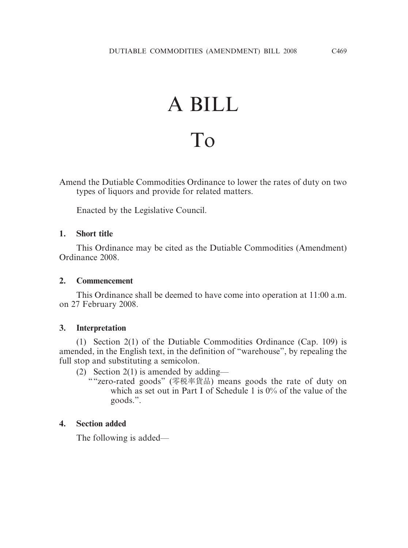# A BILL To

Amend the Dutiable Commodities Ordinance to lower the rates of duty on two types of liquors and provide for related matters.

Enacted by the Legislative Council.

## **1. Short title**

This Ordinance may be cited as the Dutiable Commodities (Amendment) Ordinance 2008.

#### **2. Commencement**

This Ordinance shall be deemed to have come into operation at 11:00 a.m. on 27 February 2008.

## **3. Interpretation**

(1) Section 2(1) of the Dutiable Commodities Ordinance (Cap. 109) is amended, in the English text, in the definition of "warehouse", by repealing the full stop and substituting a semicolon.

(2) Section 2(1) is amended by adding—

""zero-rated goods" (零稅率貨品) means goods the rate of duty on which as set out in Part I of Schedule 1 is 0% of the value of the goods.".

## **4. Section added**

The following is added—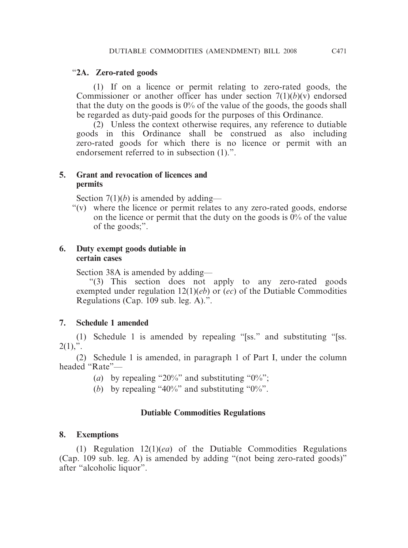#### "**2A. Zero-rated goods**

(1) If on a licence or permit relating to zero-rated goods, the Commissioner or another officer has under section  $7(1)(b)(v)$  endorsed that the duty on the goods is  $0\%$  of the value of the goods, the goods shall be regarded as duty-paid goods for the purposes of this Ordinance.

(2) Unless the context otherwise requires, any reference to dutiable goods in this Ordinance shall be construed as also including zero-rated goods for which there is no licence or permit with an endorsement referred to in subsection (1).".

#### **5. Grant and revocation of licences and permits**

Section 7(1)(*b*) is amended by adding—

"(v) where the licence or permit relates to any zero-rated goods, endorse on the licence or permit that the duty on the goods is 0% of the value of the goods;".

#### **6. Duty exempt goods dutiable in certain cases**

Section 38A is amended by adding—

"(3) This section does not apply to any zero-rated goods exempted under regulation  $12(1)(eb)$  or  $(ec)$  of the Dutiable Commodities Regulations (Cap. 109 sub. leg. A).".

## **7. Schedule 1 amended**

(1) Schedule 1 is amended by repealing "[ss." and substituting "[ss.  $2(1),$ ".

(2) Schedule 1 is amended, in paragraph 1 of Part I, under the column headed "Rate"—

- (*a*) by repealing "20%" and substituting "0%";
- (*b*) by repealing "40%" and substituting "0%".

## **Dutiable Commodities Regulations**

## **8. Exemptions**

(1) Regulation 12(1)(*ea*) of the Dutiable Commodities Regulations (Cap. 109 sub. leg. A) is amended by adding "(not being zero-rated goods)" after "alcoholic liquor".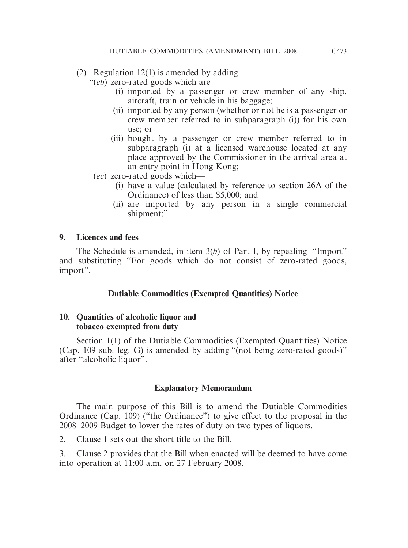- (2) Regulation  $12(1)$  is amended by adding—
	- "(*eb*) zero-rated goods which are—
		- (i) imported by a passenger or crew member of any ship, aircraft, train or vehicle in his baggage;
		- (ii) imported by any person (whether or not he is a passenger or crew member referred to in subparagraph (i)) for his own use; or
		- (iii) bought by a passenger or crew member referred to in subparagraph (i) at a licensed warehouse located at any place approved by the Commissioner in the arrival area at an entry point in Hong Kong;
	- (*ec*) zero-rated goods which—
		- (i) have a value (calculated by reference to section 26A of the Ordinance) of less than \$5,000; and
		- (ii) are imported by any person in a single commercial shipment;".

#### **9. Licences and fees**

The Schedule is amended, in item 3(*b*) of Part I, by repealing "Import" and substituting "For goods which do not consist of zero-rated goods, import".

## **Dutiable Commodities (Exempted Quantities) Notice**

#### **10. Quantities of alcoholic liquor and tobacco exempted from duty**

Section 1(1) of the Dutiable Commodities (Exempted Quantities) Notice (Cap. 109 sub. leg. G) is amended by adding "(not being zero-rated goods)" after "alcoholic liquor".

#### **Explanatory Memorandum**

The main purpose of this Bill is to amend the Dutiable Commodities Ordinance (Cap. 109) ("the Ordinance") to give effect to the proposal in the 2008–2009 Budget to lower the rates of duty on two types of liquors.

2. Clause 1 sets out the short title to the Bill.

3. Clause 2 provides that the Bill when enacted will be deemed to have come into operation at 11:00 a.m. on 27 February 2008.